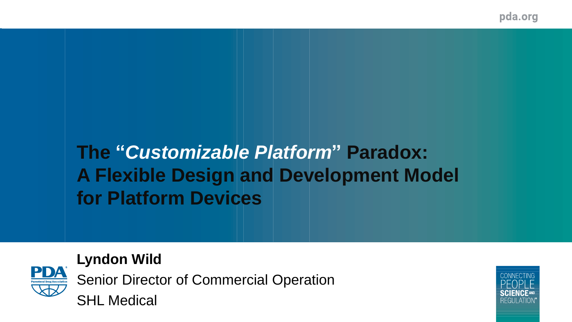pda.org

# **The "***Customizable Platform***" Paradox: A Flexible Design and Development Model for Platform Devices**



**Lyndon Wild** Senior Director of Commercial Operation SHL Medical

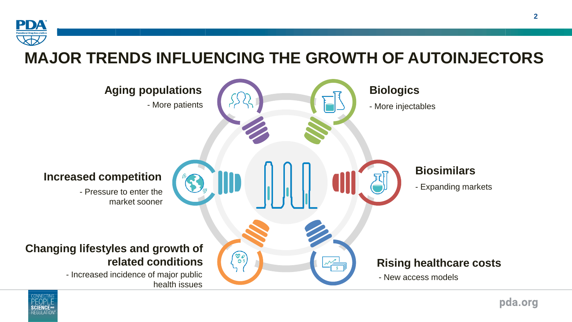

#### **MAJOR TRENDS INFLUENCING THE GROWTH OF AUTOINJECTORS**



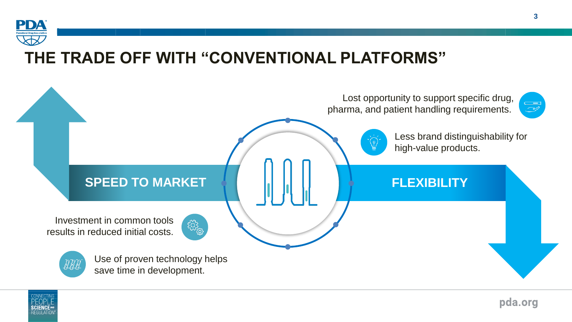

#### **THE TRADE OFF WITH "CONVENTIONAL PLATFORMS"**



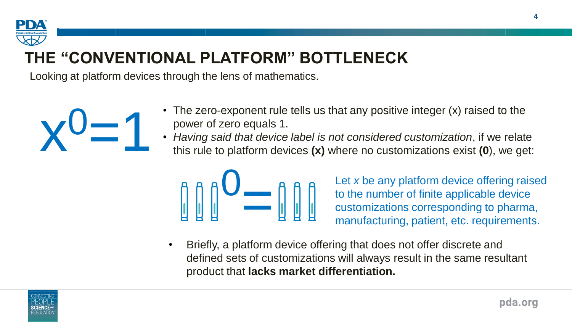

## **THE "CONVENTIONAL PLATFORM" BOTTLENECK**

Looking at platform devices through the lens of mathematics.



- The zero-exponent rule tells us that any positive integer (x) raised to the power of zero equals 1.
- *Having said that device label is not considered customization*, if we relate this rule to platform devices **(x)** where no customizations exist **(0**), we get:



Let *x* be any platform device offering raised to the number of finite applicable device customizations corresponding to pharma, manufacturing, patient, etc. requirements.

• Briefly, a platform device offering that does not offer discrete and defined sets of customizations will always result in the same resultant product that **lacks market differentiation.**

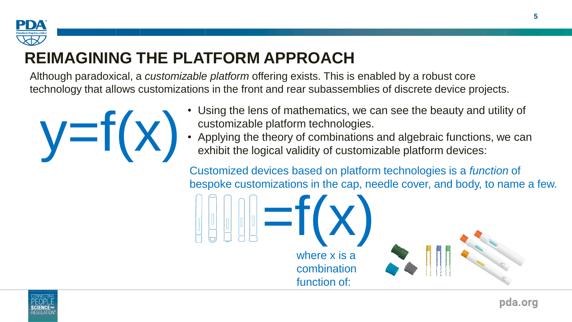

### **REIMAGINING THE PLATFORM APPROACH**

Although paradoxical, a *customizable platform* offering exists. This is enabled by a robust core technology that allows customizations in the front and rear subassemblies of discrete device projects.



- Using the lens of mathematics, we can see the beauty and utility of
- customizable platform technologies.<br>• Applying the theory of combinations and algebraic functions, we can exhibit the logical validity of customizable platform devices:<br>
Exhibit the logical validity of customizable platform devices:

Customized devices based on platform technologies is a *function* of bespoke customizations in the cap, needle cover, and body, to name a few.



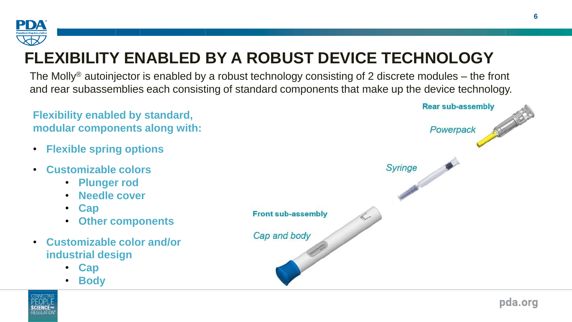

# **FLEXIBILITY ENABLED BY A ROBUST DEVICE TECHNOLOGY**

The Molly<sup>®</sup> autoinjector is enabled by a robust technology consisting of 2 discrete modules – the front and rear subassemblies each consisting of standard components that make up the device technology.





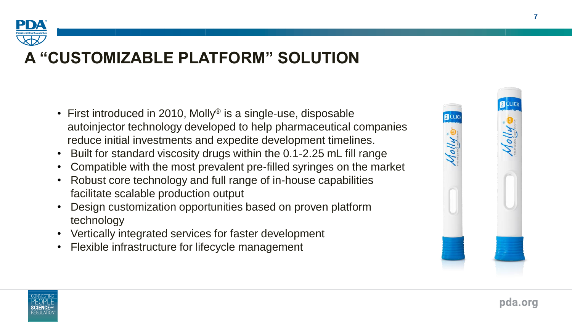

#### **A "CUSTOMIZABLE PLATFORM" SOLUTION**

- First introduced in 2010, Molly<sup>®</sup> is a single-use, disposable autoinjector technology developed to help pharmaceutical companies reduce initial investments and expedite development timelines.
- Built for standard viscosity drugs within the 0.1-2.25 mL fill range
- Compatible with the most prevalent pre-filled syringes on the market
- Robust core technology and full range of in-house capabilities facilitate scalable production output
- Design customization opportunities based on proven platform technology
- Vertically integrated services for faster development
- Flexible infrastructure for lifecycle management





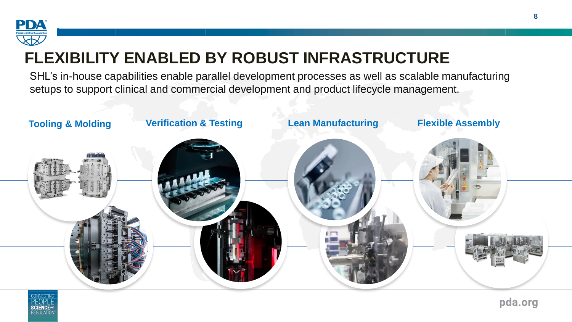

#### **FLEXIBILITY ENABLED BY ROBUST INFRASTRUCTURE**

SHL's in-house capabilities enable parallel development processes as well as scalable manufacturing setups to support clinical and commercial development and product lifecycle management.



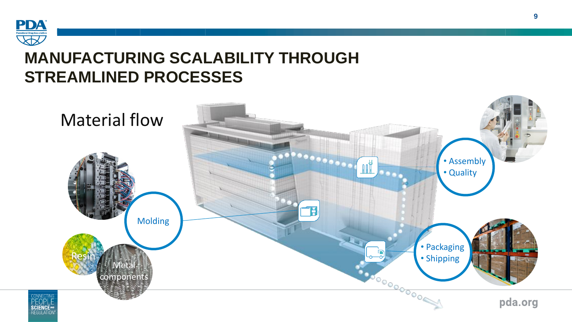

#### **MANUFACTURING SCALABILITY THROUGH STREAMLINED PROCESSES**

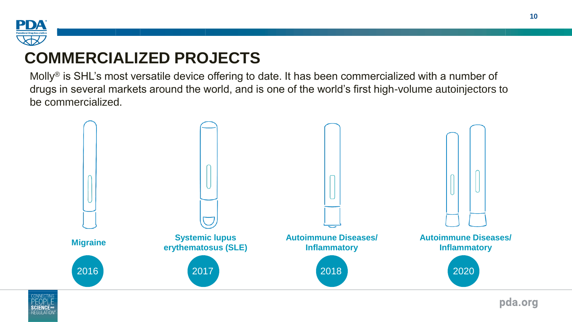

#### **COMMERCIALIZED PROJECTS**

Molly® is SHL's most versatile device offering to date. It has been commercialized with a number of drugs in several markets around the world, and is one of the world's first high-volume autoinjectors to be commercialized.



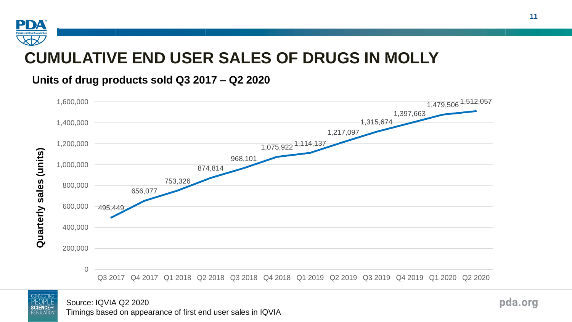

#### **CUMULATIVE END USER SALES OF DRUGS IN MOLLY**

**Units of drug products sold Q3 2017 – Q2 2020**





Source: IQVIA Q2 2020 Timings based on appearance of first end user sales in IQVIA pda.org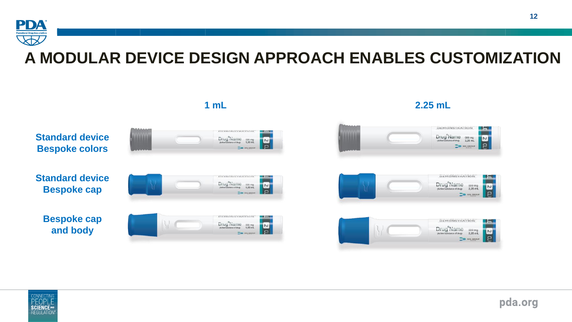

#### **A MODULAR DEVICE DESIGN APPROACH ENABLES CUSTOMIZATION**



#### **SCIENCE** REGHI ATI

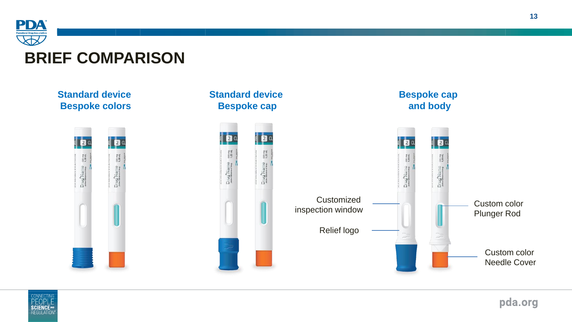

#### **BRIEF COMPARISON**



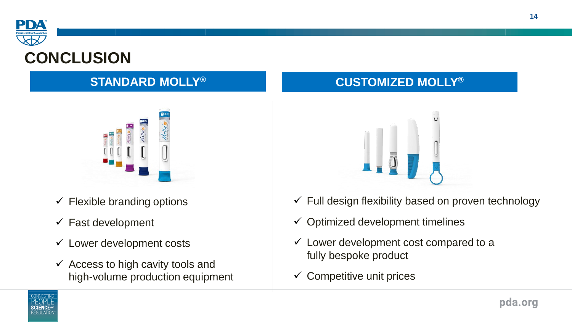

#### **CONCLUSION**



- $\checkmark$  Flexible branding options
- $\checkmark$  Fast development
- $\checkmark$  Lower development costs
- $\checkmark$  Access to high cavity tools and high-volume production equipment

#### **STANDARD MOLLY® CUSTOMIZED MOLLY®**



- $\checkmark$  Full design flexibility based on proven technology
- $\checkmark$  Optimized development timelines
- $\checkmark$  Lower development cost compared to a fully bespoke product
- $\checkmark$  Competitive unit prices